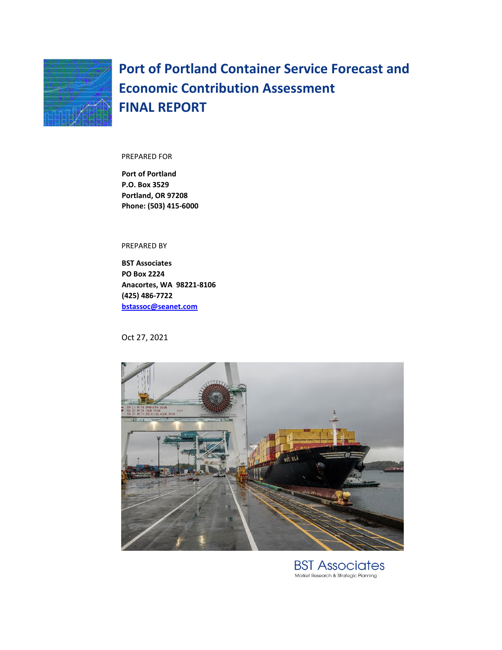

**Port of Portland Container Service Forecast and Economic Contribution Assessment FINAL REPORT** 

#### PREPARED FOR

**Port of Portland P.O. Box 3529 Portland, OR 97208 Phone: (503) 415-6000** 

PREPARED BY

**BST Associates PO Box 2224 Anacortes, WA 98221-8106 (425) 486-7722 bstassoc@seanet.com**

Oct 27, 2021



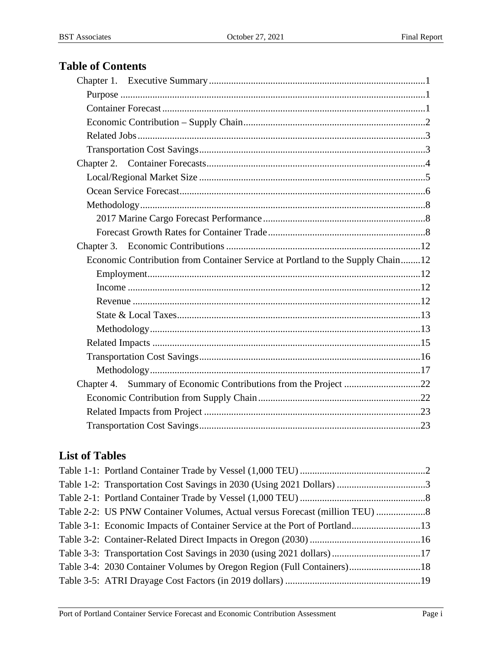# **Table of Contents**

| Economic Contribution from Container Service at Portland to the Supply Chain12 |
|--------------------------------------------------------------------------------|
|                                                                                |
|                                                                                |
|                                                                                |
|                                                                                |
|                                                                                |
|                                                                                |
|                                                                                |
|                                                                                |
|                                                                                |
|                                                                                |
|                                                                                |

# **List of Tables**

| Table 3-4: 2030 Container Volumes by Oregon Region (Full Containers)18 |  |
|------------------------------------------------------------------------|--|
|                                                                        |  |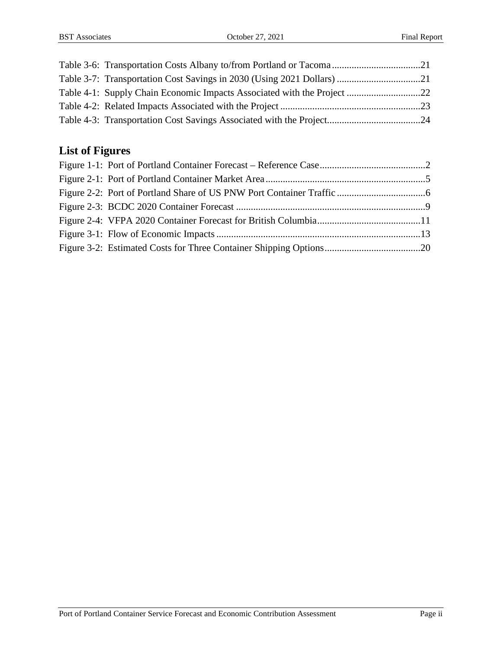# **List of Figures**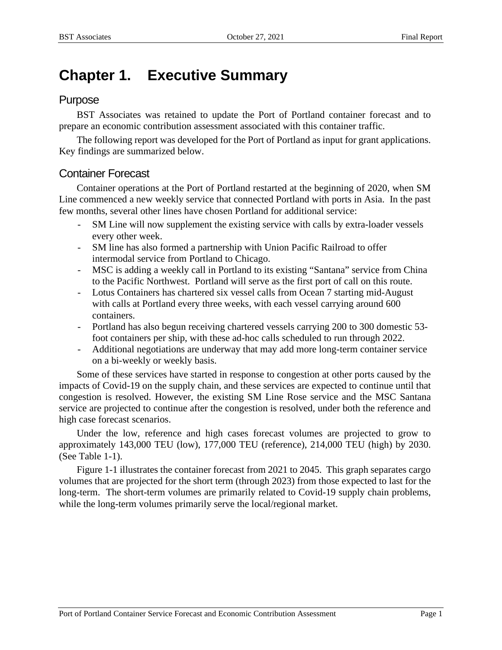# **Chapter 1. Executive Summary**

## Purpose

BST Associates was retained to update the Port of Portland container forecast and to prepare an economic contribution assessment associated with this container traffic.

The following report was developed for the Port of Portland as input for grant applications. Key findings are summarized below.

## Container Forecast

Container operations at the Port of Portland restarted at the beginning of 2020, when SM Line commenced a new weekly service that connected Portland with ports in Asia. In the past few months, several other lines have chosen Portland for additional service:

- SM Line will now supplement the existing service with calls by extra-loader vessels every other week.
- SM line has also formed a partnership with Union Pacific Railroad to offer intermodal service from Portland to Chicago.
- MSC is adding a weekly call in Portland to its existing "Santana" service from China to the Pacific Northwest. Portland will serve as the first port of call on this route.
- Lotus Containers has chartered six vessel calls from Ocean 7 starting mid-August with calls at Portland every three weeks, with each vessel carrying around 600 containers.
- Portland has also begun receiving chartered vessels carrying 200 to 300 domestic 53 foot containers per ship, with these ad-hoc calls scheduled to run through 2022.
- Additional negotiations are underway that may add more long-term container service on a bi-weekly or weekly basis.

Some of these services have started in response to congestion at other ports caused by the impacts of Covid-19 on the supply chain, and these services are expected to continue until that congestion is resolved. However, the existing SM Line Rose service and the MSC Santana service are projected to continue after the congestion is resolved, under both the reference and high case forecast scenarios.

Under the low, reference and high cases forecast volumes are projected to grow to approximately 143,000 TEU (low), 177,000 TEU (reference), 214,000 TEU (high) by 2030. (See Table 1-1).

Figure 1-1 illustrates the container forecast from 2021 to 2045. This graph separates cargo volumes that are projected for the short term (through 2023) from those expected to last for the long-term. The short-term volumes are primarily related to Covid-19 supply chain problems, while the long-term volumes primarily serve the local/regional market.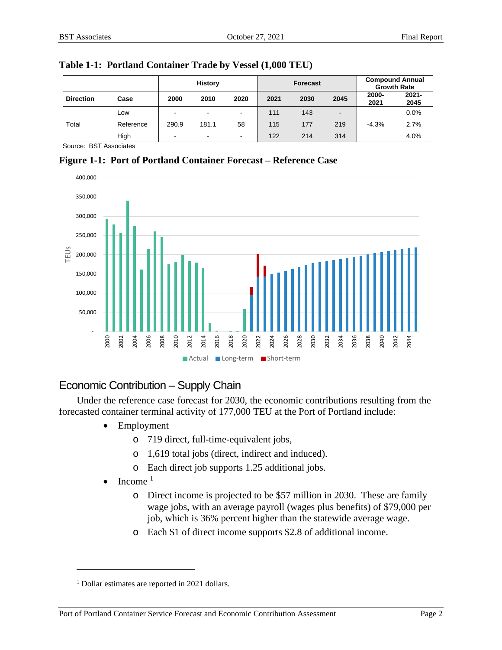|                  |           | <b>History</b>           |                | <b>Forecast</b> |      |      | <b>Compound Annual</b><br><b>Growth Rate</b> |               |                  |
|------------------|-----------|--------------------------|----------------|-----------------|------|------|----------------------------------------------|---------------|------------------|
| <b>Direction</b> | Case      | 2000                     | 2010           | 2020            | 2021 | 2030 | 2045                                         | 2000-<br>2021 | $2021 -$<br>2045 |
|                  | Low       |                          | $\blacksquare$ | $\blacksquare$  | 111  | 143  | $\blacksquare$                               |               | 0.0%             |
| Total            | Reference | 290.9                    | 181.1          | 58              | 115  | 177  | 219                                          | $-4.3%$       | 2.7%             |
|                  | High      | $\overline{\phantom{0}}$ | $\sim$         | $\blacksquare$  | 122  | 214  | 314                                          |               | 4.0%             |

**Table 1-1: Portland Container Trade by Vessel (1,000 TEU)** 

Source: BST Associates





## Economic Contribution – Supply Chain

Under the reference case forecast for 2030, the economic contributions resulting from the forecasted container terminal activity of 177,000 TEU at the Port of Portland include:

- Employment
	- o 719 direct, full-time-equivalent jobs,
	- o 1,619 total jobs (direct, indirect and induced).
	- o Each direct job supports 1.25 additional jobs.
- $\bullet$  Income<sup>1</sup>
	- o Direct income is projected to be \$57 million in 2030. These are family wage jobs, with an average payroll (wages plus benefits) of \$79,000 per job, which is 36% percent higher than the statewide average wage.
	- o Each \$1 of direct income supports \$2.8 of additional income.

<sup>&</sup>lt;sup>1</sup> Dollar estimates are reported in 2021 dollars.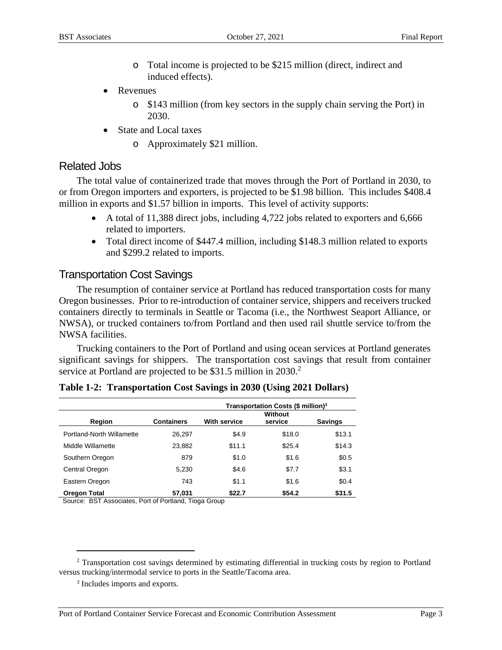- o Total income is projected to be \$215 million (direct, indirect and induced effects).
- Revenues
	- o \$143 million (from key sectors in the supply chain serving the Port) in 2030.
- State and Local taxes
	- o Approximately \$21 million.

## Related Jobs

The total value of containerized trade that moves through the Port of Portland in 2030, to or from Oregon importers and exporters, is projected to be \$1.98 billion. This includes \$408.4 million in exports and \$1.57 billion in imports. This level of activity supports:

- A total of 11,388 direct jobs, including 4,722 jobs related to exporters and 6,666 related to importers.
- Total direct income of \$447.4 million, including \$148.3 million related to exports and \$299.2 related to imports.

## Transportation Cost Savings

The resumption of container service at Portland has reduced transportation costs for many Oregon businesses. Prior to re-introduction of container service, shippers and receivers trucked containers directly to terminals in Seattle or Tacoma (i.e., the Northwest Seaport Alliance, or NWSA), or trucked containers to/from Portland and then used rail shuttle service to/from the NWSA facilities.

Trucking containers to the Port of Portland and using ocean services at Portland generates significant savings for shippers. The transportation cost savings that result from container service at Portland are projected to be  $$31.5$  million in 2030.<sup>2</sup>

|                           |                   | Transportation Costs (\$ million) <sup>3</sup> |                           |                |  |  |  |
|---------------------------|-------------------|------------------------------------------------|---------------------------|----------------|--|--|--|
| Region                    | <b>Containers</b> | <b>With service</b>                            | <b>Without</b><br>service | <b>Savings</b> |  |  |  |
| Portland-North Willamette | 26.297            | \$4.9                                          | \$18.0                    | \$13.1         |  |  |  |
| Middle Willamette         | 23,882            | \$11.1                                         | \$25.4                    | \$14.3         |  |  |  |
| Southern Oregon           | 879               | \$1.0                                          | \$1.6                     | \$0.5          |  |  |  |
| Central Oregon            | 5,230             | \$4.6                                          | \$7.7                     | \$3.1          |  |  |  |
| Eastern Oregon            | 743               | \$1.1                                          | \$1.6                     | \$0.4          |  |  |  |
| <b>Oregon Total</b>       | 57,031            | \$22.7                                         | \$54.2                    | \$31.5         |  |  |  |

|  | Table 1-2: Transportation Cost Savings in 2030 (Using 2021 Dollars) |  |  |  |
|--|---------------------------------------------------------------------|--|--|--|
|--|---------------------------------------------------------------------|--|--|--|

Source: BST Associates, Port of Portland, Tioga Group

<sup>&</sup>lt;sup>2</sup> Transportation cost savings determined by estimating differential in trucking costs by region to Portland versus trucking/intermodal service to ports in the Seattle/Tacoma area.

<sup>3</sup> Includes imports and exports.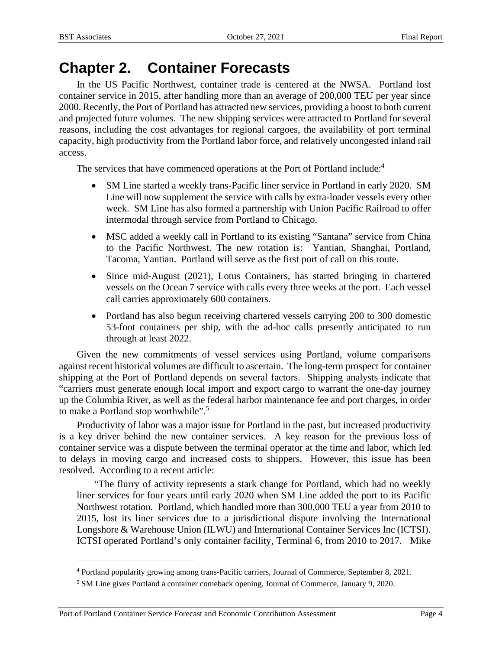# **Chapter 2. Container Forecasts**

In the US Pacific Northwest, container trade is centered at the NWSA. Portland lost container service in 2015, after handling more than an average of 200,000 TEU per year since 2000. Recently, the Port of Portland has attracted new services, providing a boost to both current and projected future volumes. The new shipping services were attracted to Portland for several reasons, including the cost advantages for regional cargoes, the availability of port terminal capacity, high productivity from the Portland labor force, and relatively uncongested inland rail access.

The services that have commenced operations at the Port of Portland include:<sup>4</sup>

- SM Line started a weekly trans-Pacific liner service in Portland in early 2020. SM Line will now supplement the service with calls by extra-loader vessels every other week. SM Line has also formed a partnership with Union Pacific Railroad to offer intermodal through service from Portland to Chicago.
- MSC added a weekly call in Portland to its existing "Santana" service from China to the Pacific Northwest. The new rotation is: Yantian, Shanghai, Portland, Tacoma, Yantian. Portland will serve as the first port of call on this route.
- Since mid-August (2021), Lotus Containers, has started bringing in chartered vessels on the Ocean 7 service with calls every three weeks at the port. Each vessel call carries approximately 600 containers.
- Portland has also begun receiving chartered vessels carrying 200 to 300 domestic 53-foot containers per ship, with the ad-hoc calls presently anticipated to run through at least 2022.

Given the new commitments of vessel services using Portland, volume comparisons against recent historical volumes are difficult to ascertain. The long-term prospect for container shipping at the Port of Portland depends on several factors. Shipping analysts indicate that "carriers must generate enough local import and export cargo to warrant the one-day journey up the Columbia River, as well as the federal harbor maintenance fee and port charges, in order to make a Portland stop worthwhile".<sup>5</sup>

Productivity of labor was a major issue for Portland in the past, but increased productivity is a key driver behind the new container services. A key reason for the previous loss of container service was a dispute between the terminal operator at the time and labor, which led to delays in moving cargo and increased costs to shippers. However, this issue has been resolved. According to a recent article:

"The flurry of activity represents a stark change for Portland, which had no weekly liner services for four years until early 2020 when SM Line added the port to its Pacific Northwest rotation. Portland, which handled more than 300,000 TEU a year from 2010 to 2015, lost its liner services due to a jurisdictional dispute involving the International Longshore & Warehouse Union (ILWU) and International Container Services Inc (ICTSI). ICTSI operated Portland's only container facility, Terminal 6, from 2010 to 2017. Mike

<sup>4</sup> Portland popularity growing among trans-Pacific carriers, Journal of Commerce, September 8, 2021.

<sup>5</sup> SM Line gives Portland a container comeback opening, Journal of Commerce, January 9, 2020.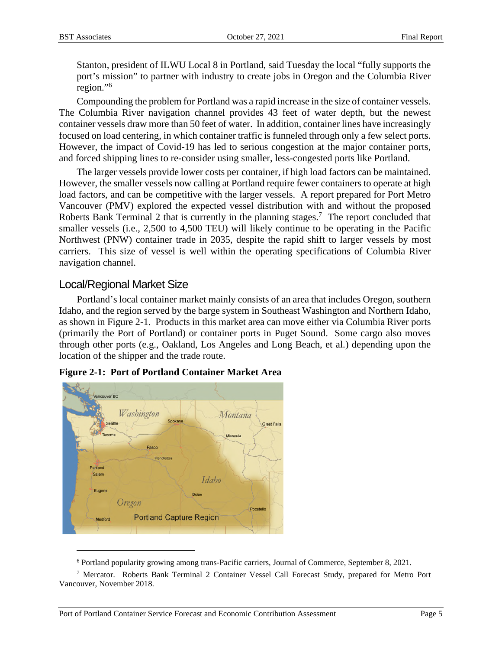Stanton, president of ILWU Local 8 in Portland, said Tuesday the local "fully supports the port's mission" to partner with industry to create jobs in Oregon and the Columbia River region."<sup>6</sup>

Compounding the problem for Portland was a rapid increase in the size of container vessels. The Columbia River navigation channel provides 43 feet of water depth, but the newest container vessels draw more than 50 feet of water. In addition, container lines have increasingly focused on load centering, in which container traffic is funneled through only a few select ports. However, the impact of Covid-19 has led to serious congestion at the major container ports, and forced shipping lines to re-consider using smaller, less-congested ports like Portland.

The larger vessels provide lower costs per container, if high load factors can be maintained. However, the smaller vessels now calling at Portland require fewer containers to operate at high load factors, and can be competitive with the larger vessels. A report prepared for Port Metro Vancouver (PMV) explored the expected vessel distribution with and without the proposed Roberts Bank Terminal 2 that is currently in the planning stages.<sup>7</sup> The report concluded that smaller vessels (i.e., 2,500 to 4,500 TEU) will likely continue to be operating in the Pacific Northwest (PNW) container trade in 2035, despite the rapid shift to larger vessels by most carriers. This size of vessel is well within the operating specifications of Columbia River navigation channel.

## Local/Regional Market Size

Portland's local container market mainly consists of an area that includes Oregon, southern Idaho, and the region served by the barge system in Southeast Washington and Northern Idaho, as shown in Figure 2-1. Products in this market area can move either via Columbia River ports (primarily the Port of Portland) or container ports in Puget Sound. Some cargo also moves through other ports (e.g., Oakland, Los Angeles and Long Beach, et al.) depending upon the location of the shipper and the trade route.



**Figure 2-1: Port of Portland Container Market Area** 

<sup>&</sup>lt;sup>6</sup> Portland popularity growing among trans-Pacific carriers, Journal of Commerce, September 8, 2021.

<sup>&</sup>lt;sup>7</sup> Mercator. Roberts Bank Terminal 2 Container Vessel Call Forecast Study, prepared for Metro Port Vancouver, November 2018.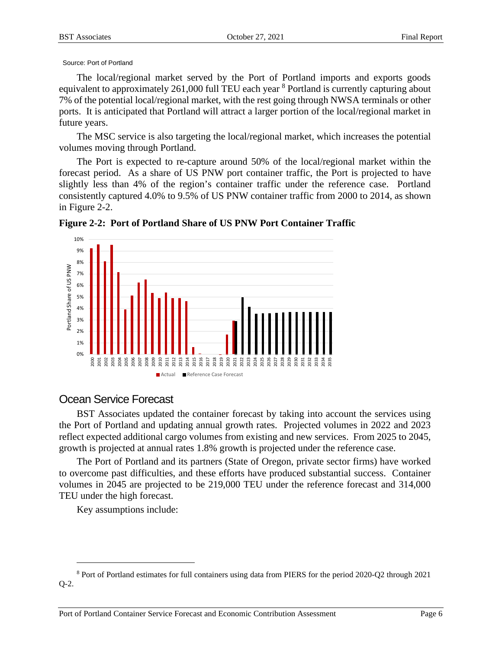#### Source: Port of Portland

The local/regional market served by the Port of Portland imports and exports goods equivalent to approximately 261,000 full TEU each year <sup>8</sup> Portland is currently capturing about 7% of the potential local/regional market, with the rest going through NWSA terminals or other ports. It is anticipated that Portland will attract a larger portion of the local/regional market in future years.

The MSC service is also targeting the local/regional market, which increases the potential volumes moving through Portland.

The Port is expected to re-capture around 50% of the local/regional market within the forecast period. As a share of US PNW port container traffic, the Port is projected to have slightly less than 4% of the region's container traffic under the reference case. Portland consistently captured 4.0% to 9.5% of US PNW container traffic from 2000 to 2014, as shown in Figure 2-2.



**Figure 2-2: Port of Portland Share of US PNW Port Container Traffic** 

## Ocean Service Forecast

BST Associates updated the container forecast by taking into account the services using the Port of Portland and updating annual growth rates. Projected volumes in 2022 and 2023 reflect expected additional cargo volumes from existing and new services. From 2025 to 2045, growth is projected at annual rates 1.8% growth is projected under the reference case.

The Port of Portland and its partners (State of Oregon, private sector firms) have worked to overcome past difficulties, and these efforts have produced substantial success. Container volumes in 2045 are projected to be 219,000 TEU under the reference forecast and 314,000 TEU under the high forecast.

Key assumptions include:

<sup>&</sup>lt;sup>8</sup> Port of Portland estimates for full containers using data from PIERS for the period 2020-Q2 through 2021 Q-2.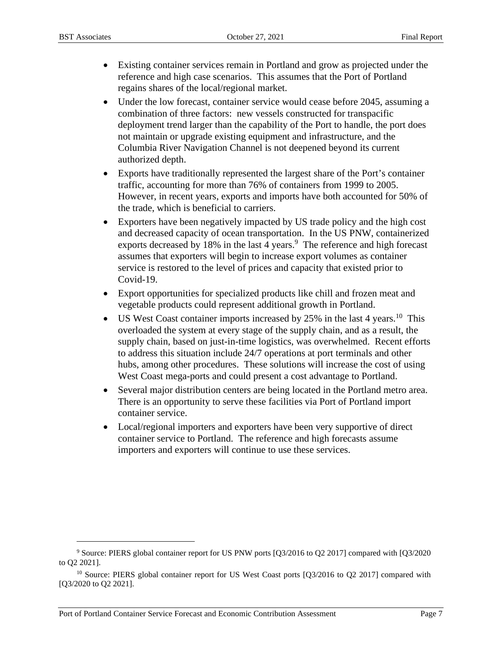- Existing container services remain in Portland and grow as projected under the reference and high case scenarios. This assumes that the Port of Portland regains shares of the local/regional market.
- Under the low forecast, container service would cease before 2045, assuming a combination of three factors: new vessels constructed for transpacific deployment trend larger than the capability of the Port to handle, the port does not maintain or upgrade existing equipment and infrastructure, and the Columbia River Navigation Channel is not deepened beyond its current authorized depth.
- Exports have traditionally represented the largest share of the Port's container traffic, accounting for more than 76% of containers from 1999 to 2005. However, in recent years, exports and imports have both accounted for 50% of the trade, which is beneficial to carriers.
- Exporters have been negatively impacted by US trade policy and the high cost and decreased capacity of ocean transportation. In the US PNW, containerized exports decreased by  $18\%$  in the last 4 years.<sup>9</sup> The reference and high forecast assumes that exporters will begin to increase export volumes as container service is restored to the level of prices and capacity that existed prior to Covid-19.
- Export opportunities for specialized products like chill and frozen meat and vegetable products could represent additional growth in Portland.
- US West Coast container imports increased by 25% in the last 4 years.<sup>10</sup> This overloaded the system at every stage of the supply chain, and as a result, the supply chain, based on just-in-time logistics, was overwhelmed. Recent efforts to address this situation include 24/7 operations at port terminals and other hubs, among other procedures. These solutions will increase the cost of using West Coast mega-ports and could present a cost advantage to Portland.
- Several major distribution centers are being located in the Portland metro area. There is an opportunity to serve these facilities via Port of Portland import container service.
- Local/regional importers and exporters have been very supportive of direct container service to Portland. The reference and high forecasts assume importers and exporters will continue to use these services.

<sup>9</sup> Source: PIERS global container report for US PNW ports [Q3/2016 to Q2 2017] compared with [Q3/2020 to Q2 2021].

<sup>&</sup>lt;sup>10</sup> Source: PIERS global container report for US West Coast ports [Q3/2016 to Q2 2017] compared with [Q3/2020 to Q2 2021].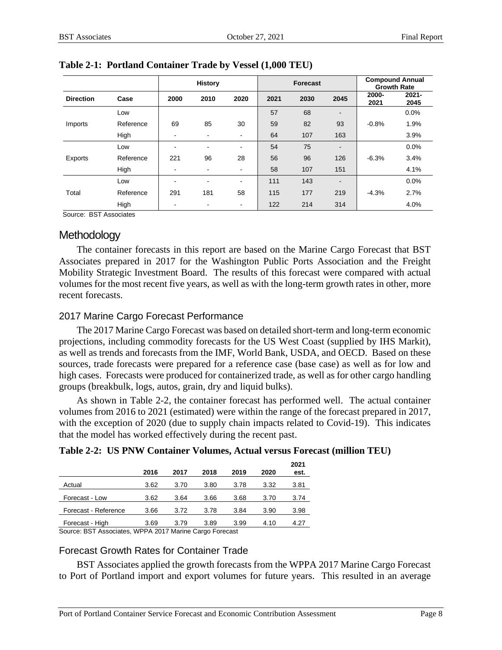|                  | <b>History</b> |      |                          | <b>Forecast</b> |      |      | <b>Compound Annual</b><br><b>Growth Rate</b> |               |                  |
|------------------|----------------|------|--------------------------|-----------------|------|------|----------------------------------------------|---------------|------------------|
| <b>Direction</b> | Case           | 2000 | 2010                     | 2020            | 2021 | 2030 | 2045                                         | 2000-<br>2021 | $2021 -$<br>2045 |
|                  | Low            |      |                          |                 | 57   | 68   | $\blacksquare$                               |               | 0.0%             |
| Imports          | Reference      | 69   | 85                       | 30              | 59   | 82   | 93                                           | $-0.8%$       | 1.9%             |
|                  | High           | ۰    | $\overline{\phantom{a}}$ | $\blacksquare$  | 64   | 107  | 163                                          |               | 3.9%             |
|                  | Low            |      | ۰                        | $\blacksquare$  | 54   | 75   | $\overline{\phantom{a}}$                     |               | 0.0%             |
| Exports          | Reference      | 221  | 96                       | 28              | 56   | 96   | 126                                          | $-6.3%$       | 3.4%             |
|                  | High           | -    | $\blacksquare$           | $\blacksquare$  | 58   | 107  | 151                                          |               | 4.1%             |
| Total            | Low            |      | ٠                        | $\blacksquare$  | 111  | 143  | $\overline{\phantom{a}}$                     |               | 0.0%             |
|                  | Reference      | 291  | 181                      | 58              | 115  | 177  | 219                                          | $-4.3%$       | 2.7%             |
|                  | High           |      | ٠                        | $\blacksquare$  | 122  | 214  | 314                                          |               | 4.0%             |

#### **Table 2-1: Portland Container Trade by Vessel (1,000 TEU)**

Source: BST Associates

## **Methodology**

The container forecasts in this report are based on the Marine Cargo Forecast that BST Associates prepared in 2017 for the Washington Public Ports Association and the Freight Mobility Strategic Investment Board. The results of this forecast were compared with actual volumes for the most recent five years, as well as with the long-term growth rates in other, more recent forecasts.

## 2017 Marine Cargo Forecast Performance

The 2017 Marine Cargo Forecast was based on detailed short-term and long-term economic projections, including commodity forecasts for the US West Coast (supplied by IHS Markit), as well as trends and forecasts from the IMF, World Bank, USDA, and OECD. Based on these sources, trade forecasts were prepared for a reference case (base case) as well as for low and high cases. Forecasts were produced for containerized trade, as well as for other cargo handling groups (breakbulk, logs, autos, grain, dry and liquid bulks).

As shown in Table 2-2, the container forecast has performed well. The actual container volumes from 2016 to 2021 (estimated) were within the range of the forecast prepared in 2017, with the exception of 2020 (due to supply chain impacts related to Covid-19). This indicates that the model has worked effectively during the recent past.

| Table 2-2: US PNW Container Volumes, Actual versus Forecast (million TEU) |  |  |  |  |
|---------------------------------------------------------------------------|--|--|--|--|
|                                                                           |  |  |  |  |

|                                                     | 2016                                        | 2017           | 2018 | 2019 | 2020 | 2021<br>est. |
|-----------------------------------------------------|---------------------------------------------|----------------|------|------|------|--------------|
| Actual                                              | 3.62                                        | 3.70           | 3.80 | 3.78 | 3.32 | 3.81         |
| Forecast - Low                                      | 3.62                                        | 3.64           | 3.66 | 3.68 | 3.70 | 3.74         |
| Forecast - Reference                                | 3.66                                        | 3.72           | 3.78 | 3.84 | 3.90 | 3.98         |
| Forecast - High<br>$\sim$<br>$\cdot$ .<br>$- - - -$ | 3.69<br>$\cdots$ $\cdots$ $\cdots$ $\cdots$ | 3.79<br>$\sim$ | 3.89 | 3.99 | 4.10 | 4.27         |

Source: BST Associates, WPPA 2017 Marine Cargo Forecast

## Forecast Growth Rates for Container Trade

BST Associates applied the growth forecasts from the WPPA 2017 Marine Cargo Forecast to Port of Portland import and export volumes for future years. This resulted in an average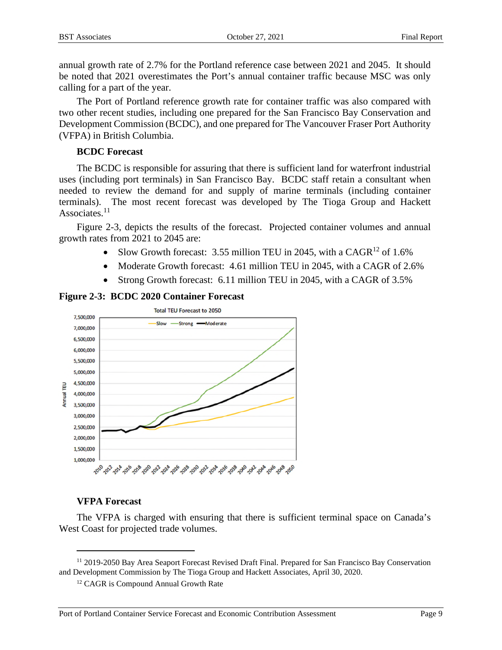annual growth rate of 2.7% for the Portland reference case between 2021 and 2045. It should be noted that 2021 overestimates the Port's annual container traffic because MSC was only calling for a part of the year.

The Port of Portland reference growth rate for container traffic was also compared with two other recent studies, including one prepared for the San Francisco Bay Conservation and Development Commission (BCDC), and one prepared for The Vancouver Fraser Port Authority (VFPA) in British Columbia.

#### **BCDC Forecast**

The BCDC is responsible for assuring that there is sufficient land for waterfront industrial uses (including port terminals) in San Francisco Bay. BCDC staff retain a consultant when needed to review the demand for and supply of marine terminals (including container terminals). The most recent forecast was developed by The Tioga Group and Hackett Associates. $11$ 

Figure 2-3, depicts the results of the forecast. Projected container volumes and annual growth rates from 2021 to 2045 are:

- Slow Growth forecast: 3.55 million TEU in 2045, with a CAGR<sup>12</sup> of 1.6%
- Moderate Growth forecast: 4.61 million TEU in 2045, with a CAGR of 2.6%
- Strong Growth forecast: 6.11 million TEU in 2045, with a CAGR of 3.5%





## **VFPA Forecast**

The VFPA is charged with ensuring that there is sufficient terminal space on Canada's West Coast for projected trade volumes.

<sup>11</sup> 2019-2050 Bay Area Seaport Forecast Revised Draft Final. Prepared for San Francisco Bay Conservation and Development Commission by The Tioga Group and Hackett Associates, April 30, 2020.

<sup>12</sup> CAGR is Compound Annual Growth Rate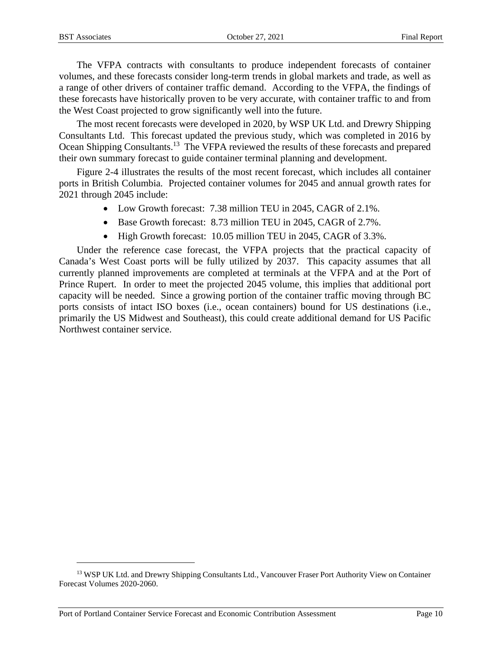The VFPA contracts with consultants to produce independent forecasts of container volumes, and these forecasts consider long-term trends in global markets and trade, as well as a range of other drivers of container traffic demand. According to the VFPA, the findings of these forecasts have historically proven to be very accurate, with container traffic to and from the West Coast projected to grow significantly well into the future.

The most recent forecasts were developed in 2020, by WSP UK Ltd. and Drewry Shipping Consultants Ltd. This forecast updated the previous study, which was completed in 2016 by Ocean Shipping Consultants.<sup>13</sup> The VFPA reviewed the results of these forecasts and prepared their own summary forecast to guide container terminal planning and development.

Figure 2-4 illustrates the results of the most recent forecast, which includes all container ports in British Columbia. Projected container volumes for 2045 and annual growth rates for 2021 through 2045 include:

- Low Growth forecast: 7.38 million TEU in 2045, CAGR of 2.1%.
- Base Growth forecast: 8.73 million TEU in 2045, CAGR of 2.7%.
- High Growth forecast: 10.05 million TEU in 2045, CAGR of 3.3%.

Under the reference case forecast, the VFPA projects that the practical capacity of Canada's West Coast ports will be fully utilized by 2037. This capacity assumes that all currently planned improvements are completed at terminals at the VFPA and at the Port of Prince Rupert. In order to meet the projected 2045 volume, this implies that additional port capacity will be needed. Since a growing portion of the container traffic moving through BC ports consists of intact ISO boxes (i.e., ocean containers) bound for US destinations (i.e., primarily the US Midwest and Southeast), this could create additional demand for US Pacific Northwest container service.

<sup>&</sup>lt;sup>13</sup> WSP UK Ltd. and Drewry Shipping Consultants Ltd., Vancouver Fraser Port Authority View on Container Forecast Volumes 2020-2060.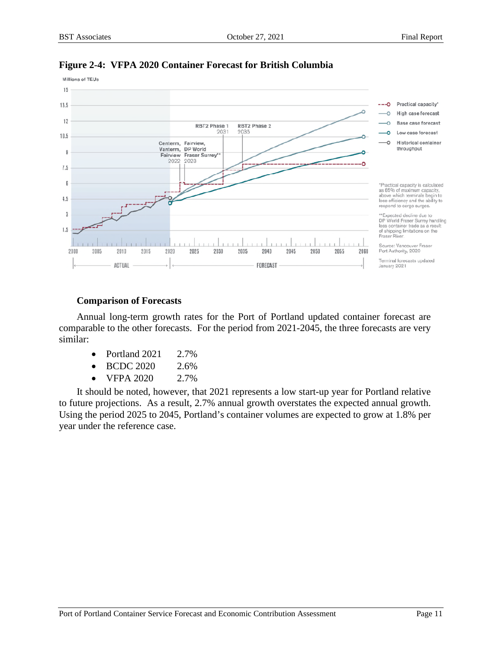

#### **Figure 2-4: VFPA 2020 Container Forecast for British Columbia**

#### **Comparison of Forecasts**

Annual long-term growth rates for the Port of Portland updated container forecast are comparable to the other forecasts. For the period from 2021-2045, the three forecasts are very similar:

- Portland  $2021$   $2.7\%$
- BCDC 2020 2.6%
- VFPA 2020 2.7%

It should be noted, however, that 2021 represents a low start-up year for Portland relative to future projections. As a result, 2.7% annual growth overstates the expected annual growth. Using the period 2025 to 2045, Portland's container volumes are expected to grow at 1.8% per year under the reference case.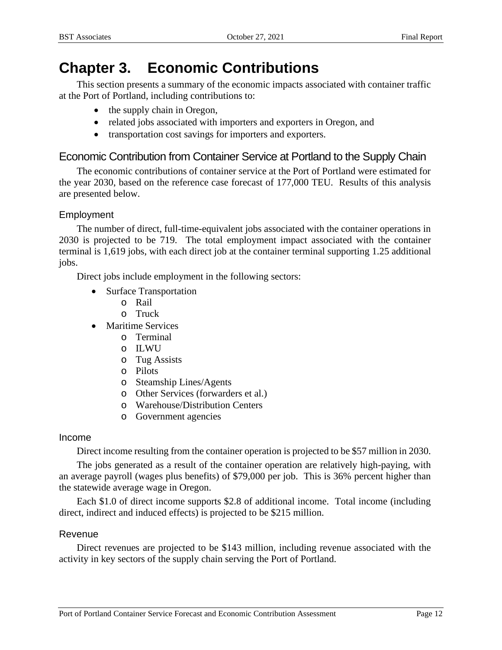# **Chapter 3. Economic Contributions**

This section presents a summary of the economic impacts associated with container traffic at the Port of Portland, including contributions to:

- the supply chain in Oregon,
- related jobs associated with importers and exporters in Oregon, and
- transportation cost savings for importers and exporters.

## Economic Contribution from Container Service at Portland to the Supply Chain

The economic contributions of container service at the Port of Portland were estimated for the year 2030, based on the reference case forecast of 177,000 TEU. Results of this analysis are presented below.

## Employment

The number of direct, full-time-equivalent jobs associated with the container operations in 2030 is projected to be 719. The total employment impact associated with the container terminal is 1,619 jobs, with each direct job at the container terminal supporting 1.25 additional jobs.

Direct jobs include employment in the following sectors:

- Surface Transportation
	- o Rail
	- o Truck
- Maritime Services
	- o Terminal
	- o ILWU
	- o Tug Assists
	- o Pilots
	- o Steamship Lines/Agents
	- o Other Services (forwarders et al.)
	- o Warehouse/Distribution Centers
	- o Government agencies

## Income

Direct income resulting from the container operation is projected to be \$57 million in 2030.

The jobs generated as a result of the container operation are relatively high-paying, with an average payroll (wages plus benefits) of \$79,000 per job. This is 36% percent higher than the statewide average wage in Oregon.

Each \$1.0 of direct income supports \$2.8 of additional income. Total income (including direct, indirect and induced effects) is projected to be \$215 million.

## Revenue

Direct revenues are projected to be \$143 million, including revenue associated with the activity in key sectors of the supply chain serving the Port of Portland.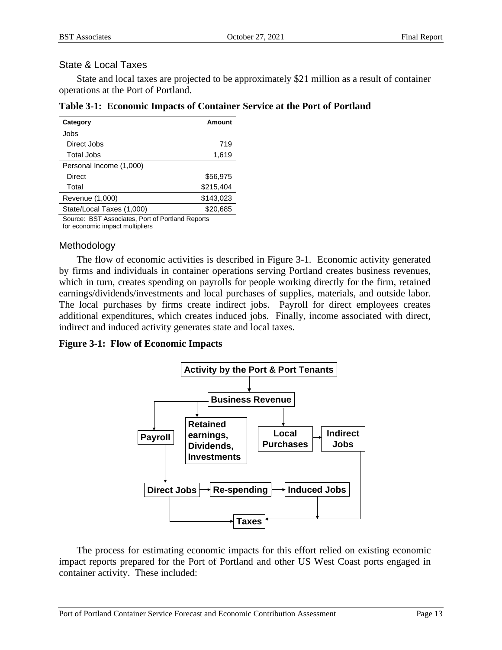## State & Local Taxes

State and local taxes are projected to be approximately \$21 million as a result of container operations at the Port of Portland.

| Category                  | Amount    |
|---------------------------|-----------|
| Jobs                      |           |
| Direct Jobs               | 719       |
| <b>Total Jobs</b>         | 1,619     |
| Personal Income (1,000)   |           |
| Direct                    | \$56.975  |
| Total                     | \$215,404 |
| Revenue (1,000)           | \$143,023 |
| State/Local Taxes (1,000) | \$20,685  |
|                           |           |

|  |  |  |  |  |  | Table 3-1: Economic Impacts of Container Service at the Port of Portland |
|--|--|--|--|--|--|--------------------------------------------------------------------------|
|--|--|--|--|--|--|--------------------------------------------------------------------------|

Source: BST Associates, Port of Portland Reports

for economic impact multipliers

## Methodology

The flow of economic activities is described in Figure 3-1. Economic activity generated by firms and individuals in container operations serving Portland creates business revenues, which in turn, creates spending on payrolls for people working directly for the firm, retained earnings/dividends/investments and local purchases of supplies, materials, and outside labor. The local purchases by firms create indirect jobs. Payroll for direct employees creates additional expenditures, which creates induced jobs. Finally, income associated with direct, indirect and induced activity generates state and local taxes.

**Figure 3-1: Flow of Economic Impacts** 



The process for estimating economic impacts for this effort relied on existing economic impact reports prepared for the Port of Portland and other US West Coast ports engaged in container activity. These included: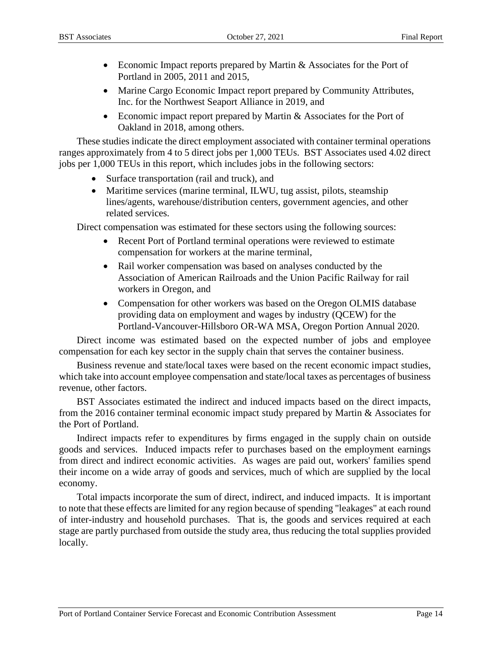- Economic Impact reports prepared by Martin & Associates for the Port of Portland in 2005, 2011 and 2015,
- Marine Cargo Economic Impact report prepared by Community Attributes, Inc. for the Northwest Seaport Alliance in 2019, and
- Economic impact report prepared by Martin & Associates for the Port of Oakland in 2018, among others.

These studies indicate the direct employment associated with container terminal operations ranges approximately from 4 to 5 direct jobs per 1,000 TEUs. BST Associates used 4.02 direct jobs per 1,000 TEUs in this report, which includes jobs in the following sectors:

- Surface transportation (rail and truck), and
- Maritime services (marine terminal, ILWU, tug assist, pilots, steamship lines/agents, warehouse/distribution centers, government agencies, and other related services.

Direct compensation was estimated for these sectors using the following sources:

- Recent Port of Portland terminal operations were reviewed to estimate compensation for workers at the marine terminal,
- Rail worker compensation was based on analyses conducted by the Association of American Railroads and the Union Pacific Railway for rail workers in Oregon, and
- Compensation for other workers was based on the Oregon OLMIS database providing data on employment and wages by industry (QCEW) for the Portland-Vancouver-Hillsboro OR-WA MSA, Oregon Portion Annual 2020.

Direct income was estimated based on the expected number of jobs and employee compensation for each key sector in the supply chain that serves the container business.

Business revenue and state/local taxes were based on the recent economic impact studies, which take into account employee compensation and state/local taxes as percentages of business revenue, other factors.

BST Associates estimated the indirect and induced impacts based on the direct impacts, from the 2016 container terminal economic impact study prepared by Martin & Associates for the Port of Portland.

Indirect impacts refer to expenditures by firms engaged in the supply chain on outside goods and services. Induced impacts refer to purchases based on the employment earnings from direct and indirect economic activities. As wages are paid out, workers' families spend their income on a wide array of goods and services, much of which are supplied by the local economy.

Total impacts incorporate the sum of direct, indirect, and induced impacts. It is important to note that these effects are limited for any region because of spending "leakages" at each round of inter-industry and household purchases. That is, the goods and services required at each stage are partly purchased from outside the study area, thus reducing the total supplies provided locally.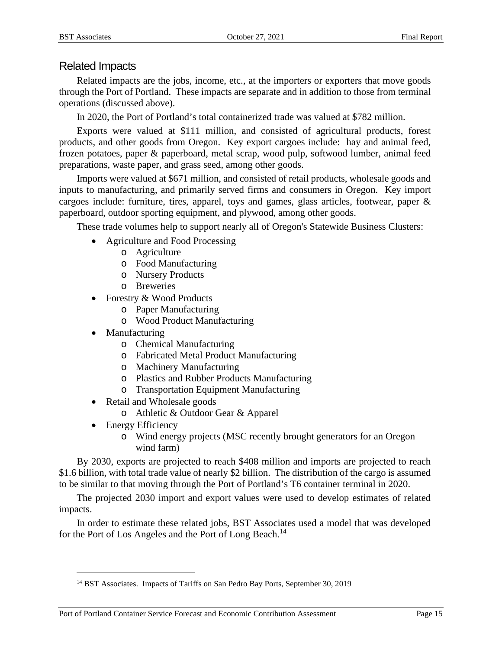## Related Impacts

Related impacts are the jobs, income, etc., at the importers or exporters that move goods through the Port of Portland. These impacts are separate and in addition to those from terminal operations (discussed above).

In 2020, the Port of Portland's total containerized trade was valued at \$782 million.

Exports were valued at \$111 million, and consisted of agricultural products, forest products, and other goods from Oregon. Key export cargoes include: hay and animal feed, frozen potatoes, paper & paperboard, metal scrap, wood pulp, softwood lumber, animal feed preparations, waste paper, and grass seed, among other goods.

Imports were valued at \$671 million, and consisted of retail products, wholesale goods and inputs to manufacturing, and primarily served firms and consumers in Oregon. Key import cargoes include: furniture, tires, apparel, toys and games, glass articles, footwear, paper & paperboard, outdoor sporting equipment, and plywood, among other goods.

These trade volumes help to support nearly all of Oregon's Statewide Business Clusters:

- Agriculture and Food Processing
	- o Agriculture
	- o Food Manufacturing
	- o Nursery Products
	- o Breweries
- Forestry & Wood Products
	- o Paper Manufacturing
	- o Wood Product Manufacturing
- Manufacturing
	- o Chemical Manufacturing
	- o Fabricated Metal Product Manufacturing
	- o Machinery Manufacturing
	- o Plastics and Rubber Products Manufacturing
	- o Transportation Equipment Manufacturing
- Retail and Wholesale goods
	- o Athletic & Outdoor Gear & Apparel
- Energy Efficiency
	- o Wind energy projects (MSC recently brought generators for an Oregon wind farm)

By 2030, exports are projected to reach \$408 million and imports are projected to reach \$1.6 billion, with total trade value of nearly \$2 billion. The distribution of the cargo is assumed to be similar to that moving through the Port of Portland's T6 container terminal in 2020.

The projected 2030 import and export values were used to develop estimates of related impacts.

In order to estimate these related jobs, BST Associates used a model that was developed for the Port of Los Angeles and the Port of Long Beach.<sup>14</sup>

<sup>&</sup>lt;sup>14</sup> BST Associates. Impacts of Tariffs on San Pedro Bay Ports, September 30, 2019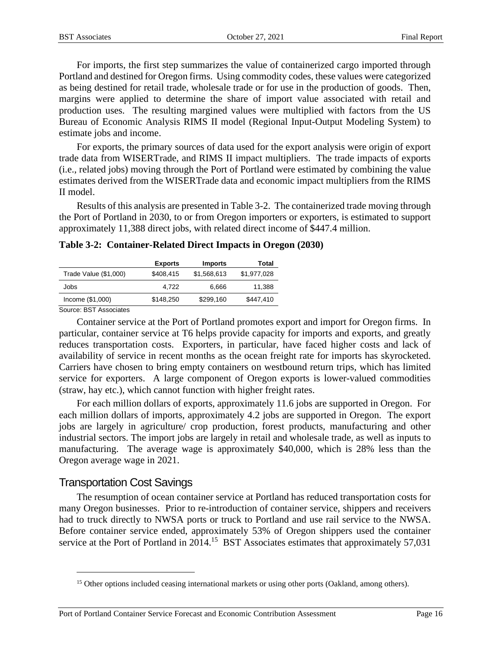For imports, the first step summarizes the value of containerized cargo imported through Portland and destined for Oregon firms. Using commodity codes, these values were categorized as being destined for retail trade, wholesale trade or for use in the production of goods. Then, margins were applied to determine the share of import value associated with retail and production uses. The resulting margined values were multiplied with factors from the US Bureau of Economic Analysis RIMS II model (Regional Input-Output Modeling System) to estimate jobs and income.

For exports, the primary sources of data used for the export analysis were origin of export trade data from WISERTrade, and RIMS II impact multipliers. The trade impacts of exports (i.e., related jobs) moving through the Port of Portland were estimated by combining the value estimates derived from the WISERTrade data and economic impact multipliers from the RIMS II model.

Results of this analysis are presented in Table 3-2. The containerized trade moving through the Port of Portland in 2030, to or from Oregon importers or exporters, is estimated to support approximately 11,388 direct jobs, with related direct income of \$447.4 million.

**Table 3-2: Container-Related Direct Impacts in Oregon (2030)** 

|                                          | <b>Exports</b> | <b>Imports</b> | Total       |
|------------------------------------------|----------------|----------------|-------------|
| Trade Value (\$1,000)                    | \$408.415      | \$1,568,613    | \$1,977,028 |
| Jobs                                     | 4.722          | 6.666          | 11,388      |
| Income (\$1,000)                         | \$148.250      | \$299.160      | \$447.410   |
| $\overline{\phantom{0}}$<br>$-\sim$ $ -$ |                |                |             |

Source: BST Associates

Container service at the Port of Portland promotes export and import for Oregon firms. In particular, container service at T6 helps provide capacity for imports and exports, and greatly reduces transportation costs. Exporters, in particular, have faced higher costs and lack of availability of service in recent months as the ocean freight rate for imports has skyrocketed. Carriers have chosen to bring empty containers on westbound return trips, which has limited service for exporters. A large component of Oregon exports is lower-valued commodities (straw, hay etc.), which cannot function with higher freight rates.

For each million dollars of exports, approximately 11.6 jobs are supported in Oregon. For each million dollars of imports, approximately 4.2 jobs are supported in Oregon. The export jobs are largely in agriculture/ crop production, forest products, manufacturing and other industrial sectors. The import jobs are largely in retail and wholesale trade, as well as inputs to manufacturing. The average wage is approximately \$40,000, which is 28% less than the Oregon average wage in 2021.

## Transportation Cost Savings

The resumption of ocean container service at Portland has reduced transportation costs for many Oregon businesses. Prior to re-introduction of container service, shippers and receivers had to truck directly to NWSA ports or truck to Portland and use rail service to the NWSA. Before container service ended, approximately 53% of Oregon shippers used the container service at the Port of Portland in 2014.<sup>15</sup> BST Associates estimates that approximately 57,031

<sup>&</sup>lt;sup>15</sup> Other options included ceasing international markets or using other ports (Oakland, among others).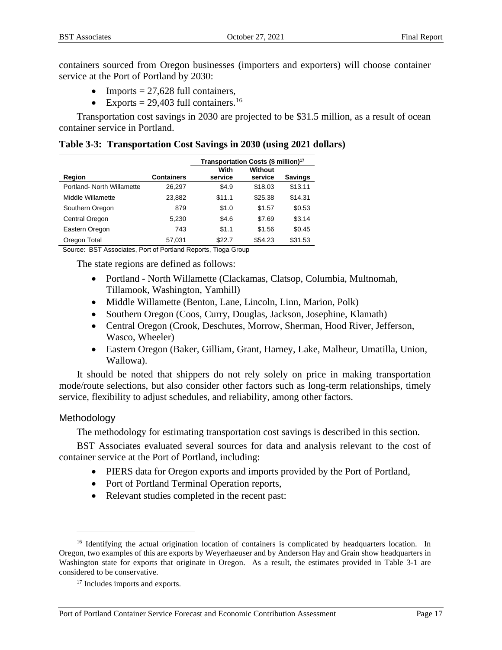containers sourced from Oregon businesses (importers and exporters) will choose container service at the Port of Portland by 2030:

- Imports  $= 27,628$  full containers,
- Exports =  $29,403$  full containers.<sup>16</sup>

Transportation cost savings in 2030 are projected to be \$31.5 million, as a result of ocean container service in Portland.

| Table 3-3: Transportation Cost Savings in 2030 (using 2021 dollars) |  |  |  |  |
|---------------------------------------------------------------------|--|--|--|--|
|---------------------------------------------------------------------|--|--|--|--|

|                            |                   | Transportation Costs (\$ million) <sup>17</sup> |                    |                |
|----------------------------|-------------------|-------------------------------------------------|--------------------|----------------|
| Region                     | <b>Containers</b> | With<br>service                                 | Without<br>service | <b>Savings</b> |
| Portland- North Willamette | 26,297            | \$4.9                                           | \$18.03            | \$13.11        |
| Middle Willamette          | 23,882            | \$11.1                                          | \$25.38            | \$14.31        |
| Southern Oregon            | 879               | \$1.0                                           | \$1.57             | \$0.53         |
| Central Oregon             | 5,230             | \$4.6                                           | \$7.69             | \$3.14         |
| Eastern Oregon             | 743               | \$1.1                                           | \$1.56             | \$0.45         |
| Oregon Total               | 57.031            | \$22.7                                          | \$54.23            | \$31.53        |

Source: BST Associates, Port of Portland Reports, Tioga Group

The state regions are defined as follows:

- Portland North Willamette (Clackamas, Clatsop, Columbia, Multnomah, Tillamook, Washington, Yamhill)
- Middle Willamette (Benton, Lane, Lincoln, Linn, Marion, Polk)
- Southern Oregon (Coos, Curry, Douglas, Jackson, Josephine, Klamath)
- Central Oregon (Crook, Deschutes, Morrow, Sherman, Hood River, Jefferson, Wasco, Wheeler)
- Eastern Oregon (Baker, Gilliam, Grant, Harney, Lake, Malheur, Umatilla, Union, Wallowa).

It should be noted that shippers do not rely solely on price in making transportation mode/route selections, but also consider other factors such as long-term relationships, timely service, flexibility to adjust schedules, and reliability, among other factors.

#### Methodology

The methodology for estimating transportation cost savings is described in this section.

BST Associates evaluated several sources for data and analysis relevant to the cost of container service at the Port of Portland, including:

- PIERS data for Oregon exports and imports provided by the Port of Portland,
- Port of Portland Terminal Operation reports,
- Relevant studies completed in the recent past:

<sup>&</sup>lt;sup>16</sup> Identifying the actual origination location of containers is complicated by headquarters location. In Oregon, two examples of this are exports by Weyerhaeuser and by Anderson Hay and Grain show headquarters in Washington state for exports that originate in Oregon. As a result, the estimates provided in Table 3-1 are considered to be conservative.

<sup>&</sup>lt;sup>17</sup> Includes imports and exports.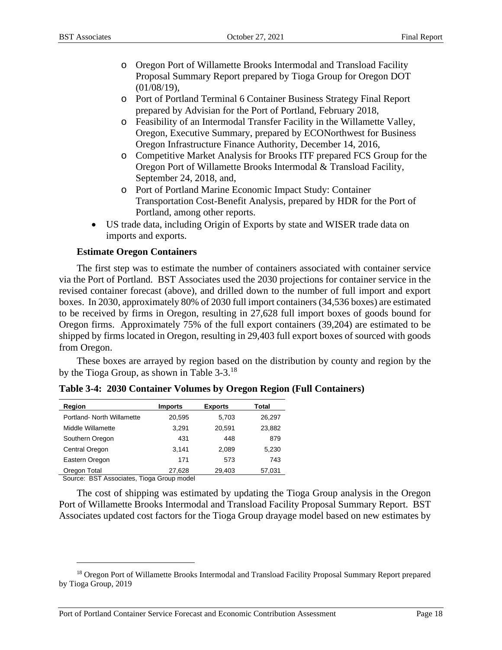- o Oregon Port of Willamette Brooks Intermodal and Transload Facility Proposal Summary Report prepared by Tioga Group for Oregon DOT  $(01/08/19)$ ,
- o Port of Portland Terminal 6 Container Business Strategy Final Report prepared by Advisian for the Port of Portland, February 2018,
- o Feasibility of an Intermodal Transfer Facility in the Willamette Valley, Oregon, Executive Summary, prepared by ECONorthwest for Business Oregon Infrastructure Finance Authority, December 14, 2016,
- o Competitive Market Analysis for Brooks ITF prepared FCS Group for the Oregon Port of Willamette Brooks Intermodal & Transload Facility, September 24, 2018, and,
- o Port of Portland Marine Economic Impact Study: Container Transportation Cost-Benefit Analysis, prepared by HDR for the Port of Portland, among other reports.
- US trade data, including Origin of Exports by state and WISER trade data on imports and exports.

## **Estimate Oregon Containers**

The first step was to estimate the number of containers associated with container service via the Port of Portland. BST Associates used the 2030 projections for container service in the revised container forecast (above), and drilled down to the number of full import and export boxes. In 2030, approximately 80% of 2030 full import containers (34,536 boxes) are estimated to be received by firms in Oregon, resulting in 27,628 full import boxes of goods bound for Oregon firms. Approximately 75% of the full export containers (39,204) are estimated to be shipped by firms located in Oregon, resulting in 29,403 full export boxes of sourced with goods from Oregon.

These boxes are arrayed by region based on the distribution by county and region by the by the Tioga Group, as shown in Table 3-3.<sup>18</sup>

| Region                     | <b>Imports</b> | <b>Exports</b> | Total  |
|----------------------------|----------------|----------------|--------|
| Portland- North Willamette | 20,595         | 5.703          | 26.297 |
| Middle Willamette          | 3,291          | 20,591         | 23,882 |
| Southern Oregon            | 431            | 448            | 879    |
| Central Oregon             | 3.141          | 2,089          | 5,230  |
| Eastern Oregon             | 171            | 573            | 743    |
| Oregon Total               | 27,628         | 29,403         | 57,031 |

**Table 3-4: 2030 Container Volumes by Oregon Region (Full Containers)** 

Source: BST Associates, Tioga Group model

The cost of shipping was estimated by updating the Tioga Group analysis in the Oregon Port of Willamette Brooks Intermodal and Transload Facility Proposal Summary Report. BST Associates updated cost factors for the Tioga Group drayage model based on new estimates by

<sup>&</sup>lt;sup>18</sup> Oregon Port of Willamette Brooks Intermodal and Transload Facility Proposal Summary Report prepared by Tioga Group, 2019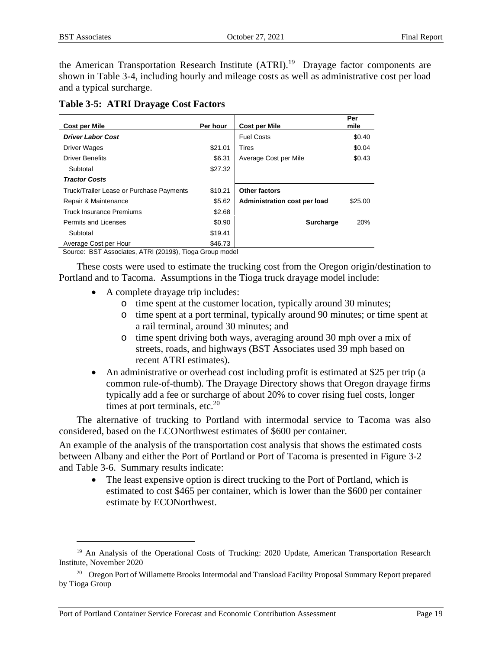the American Transportation Research Institute (ATRI).<sup>19</sup> Drayage factor components are shown in Table 3-4, including hourly and mileage costs as well as administrative cost per load and a typical surcharge.

| <b>Table 3-5: ATRI Drayage Cost Factors</b> |  |  |  |  |
|---------------------------------------------|--|--|--|--|
|---------------------------------------------|--|--|--|--|

| <b>Cost per Mile</b>                             | Per hour | <b>Cost per Mile</b>         | Per<br>mile |
|--------------------------------------------------|----------|------------------------------|-------------|
| <b>Driver Labor Cost</b>                         |          | <b>Fuel Costs</b>            | \$0.40      |
| Driver Wages                                     | \$21.01  | Tires                        | \$0.04      |
| <b>Driver Benefits</b>                           | \$6.31   | Average Cost per Mile        | \$0.43      |
| Subtotal                                         | \$27.32  |                              |             |
| <b>Tractor Costs</b>                             |          |                              |             |
| Truck/Trailer Lease or Purchase Payments         | \$10.21  | <b>Other factors</b>         |             |
| Repair & Maintenance                             | \$5.62   | Administration cost per load | \$25.00     |
| <b>Truck Insurance Premiums</b>                  | \$2.68   |                              |             |
| <b>Permits and Licenses</b>                      | \$0.90   | Surcharge                    | 20%         |
| Subtotal                                         | \$19.41  |                              |             |
| Average Cost per Hour<br>. ____ _ <b>.</b> . _ . | \$46.73  |                              |             |

Source: BST Associates, ATRI (2019\$), Tioga Group model

These costs were used to estimate the trucking cost from the Oregon origin/destination to Portland and to Tacoma. Assumptions in the Tioga truck drayage model include:

- A complete drayage trip includes:
	- o time spent at the customer location, typically around 30 minutes;
	- o time spent at a port terminal, typically around 90 minutes; or time spent at a rail terminal, around 30 minutes; and
	- o time spent driving both ways, averaging around 30 mph over a mix of streets, roads, and highways (BST Associates used 39 mph based on recent ATRI estimates).
- An administrative or overhead cost including profit is estimated at \$25 per trip (a common rule-of-thumb). The Drayage Directory shows that Oregon drayage firms typically add a fee or surcharge of about 20% to cover rising fuel costs, longer times at port terminals, etc. $20$

The alternative of trucking to Portland with intermodal service to Tacoma was also considered, based on the ECONorthwest estimates of \$600 per container.

An example of the analysis of the transportation cost analysis that shows the estimated costs between Albany and either the Port of Portland or Port of Tacoma is presented in Figure 3-2 and Table 3-6. Summary results indicate:

• The least expensive option is direct trucking to the Port of Portland, which is estimated to cost \$465 per container, which is lower than the \$600 per container estimate by ECONorthwest.

<sup>&</sup>lt;sup>19</sup> An Analysis of the Operational Costs of Trucking: 2020 Update, American Transportation Research Institute, November 2020

<sup>&</sup>lt;sup>20</sup> Oregon Port of Willamette Brooks Intermodal and Transload Facility Proposal Summary Report prepared by Tioga Group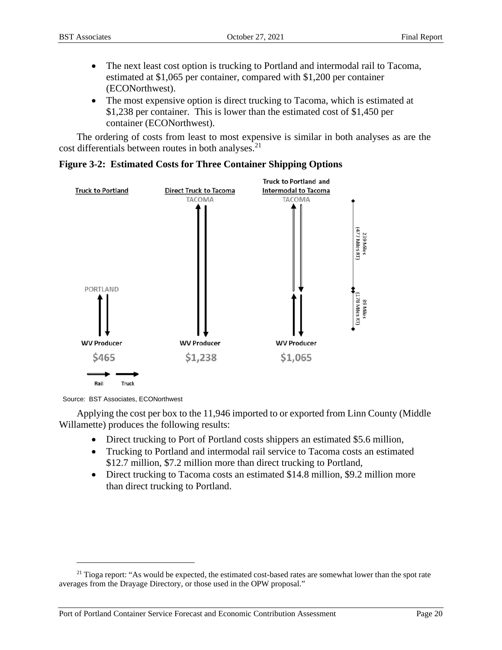- The next least cost option is trucking to Portland and intermodal rail to Tacoma, estimated at \$1,065 per container, compared with \$1,200 per container (ECONorthwest).
- The most expensive option is direct trucking to Tacoma, which is estimated at \$1,238 per container. This is lower than the estimated cost of \$1,450 per container (ECONorthwest).

The ordering of costs from least to most expensive is similar in both analyses as are the cost differentials between routes in both analyses.<sup>21</sup>



#### **Figure 3-2: Estimated Costs for Three Container Shipping Options**

Source: BST Associates, ECONorthwest

Applying the cost per box to the 11,946 imported to or exported from Linn County (Middle Willamette) produces the following results:

- Direct trucking to Port of Portland costs shippers an estimated \$5.6 million,
- Trucking to Portland and intermodal rail service to Tacoma costs an estimated \$12.7 million, \$7.2 million more than direct trucking to Portland,
- Direct trucking to Tacoma costs an estimated \$14.8 million, \$9.2 million more than direct trucking to Portland.

 $21$  Tioga report: "As would be expected, the estimated cost-based rates are somewhat lower than the spot rate averages from the Drayage Directory, or those used in the OPW proposal."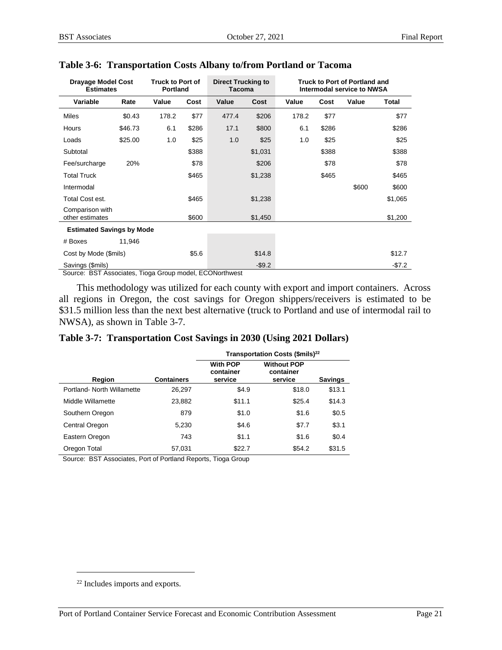| <b>Drayage Model Cost</b><br><b>Estimates</b> |         | <b>Truck to Port of</b><br><b>Portland</b> |       | <b>Direct Trucking to</b><br><b>Tacoma</b> |           |       |       | Truck to Port of Portland and<br>Intermodal service to NWSA |          |
|-----------------------------------------------|---------|--------------------------------------------|-------|--------------------------------------------|-----------|-------|-------|-------------------------------------------------------------|----------|
| Variable                                      | Rate    | Value                                      | Cost  | Value                                      | Cost      | Value | Cost  | Value                                                       | Total    |
| <b>Miles</b>                                  | \$0.43  | 178.2                                      | \$77  | 477.4                                      | \$206     | 178.2 | \$77  |                                                             | \$77     |
| Hours                                         | \$46.73 | 6.1                                        | \$286 | 17.1                                       | \$800     | 6.1   | \$286 |                                                             | \$286    |
| Loads                                         | \$25.00 | 1.0                                        | \$25  | 1.0                                        | \$25      | 1.0   | \$25  |                                                             | \$25     |
| Subtotal                                      |         |                                            | \$388 |                                            | \$1,031   |       | \$388 |                                                             | \$388    |
| Fee/surcharge                                 | 20%     |                                            | \$78  |                                            | \$206     |       | \$78  |                                                             | \$78     |
| <b>Total Truck</b>                            |         |                                            | \$465 |                                            | \$1,238   |       | \$465 |                                                             | \$465    |
| Intermodal                                    |         |                                            |       |                                            |           |       |       | \$600                                                       | \$600    |
| Total Cost est.                               |         |                                            | \$465 |                                            | \$1,238   |       |       |                                                             | \$1,065  |
| Comparison with<br>other estimates            |         |                                            | \$600 |                                            | \$1,450   |       |       |                                                             | \$1,200  |
| <b>Estimated Savings by Mode</b>              |         |                                            |       |                                            |           |       |       |                                                             |          |
| # Boxes                                       | 11,946  |                                            |       |                                            |           |       |       |                                                             |          |
| Cost by Mode (\$mils)                         |         |                                            | \$5.6 |                                            | \$14.8    |       |       |                                                             | \$12.7   |
| Savings (\$mils)                              |         |                                            |       |                                            | $-$ \$9.2 |       |       |                                                             | $-\$7.2$ |

#### **Table 3-6: Transportation Costs Albany to/from Portland or Tacoma**

Source: BST Associates, Tioga Group model, ECONorthwest

This methodology was utilized for each county with export and import containers. Across all regions in Oregon, the cost savings for Oregon shippers/receivers is estimated to be \$31.5 million less than the next best alternative (truck to Portland and use of intermodal rail to NWSA), as shown in Table 3-7.

|                                                        |                   | Transportation Costs (\$mils) <sup>22</sup> |                                            |                |  |  |
|--------------------------------------------------------|-------------------|---------------------------------------------|--------------------------------------------|----------------|--|--|
| Region                                                 | <b>Containers</b> | <b>With POP</b><br>container<br>service     | <b>Without POP</b><br>container<br>service | <b>Savings</b> |  |  |
| Portland- North Willamette                             | 26,297            | \$4.9                                       | \$18.0                                     | \$13.1         |  |  |
| Middle Willamette                                      | 23,882            | \$11.1                                      | \$25.4                                     | \$14.3         |  |  |
| Southern Oregon                                        | 879               | \$1.0                                       | \$1.6                                      | \$0.5          |  |  |
| Central Oregon                                         | 5,230             | \$4.6                                       | \$7.7                                      | \$3.1          |  |  |
| Eastern Oregon                                         | 743               | \$1.1                                       | \$1.6                                      | \$0.4          |  |  |
| Oregon Total<br>$\sim$ $\sim$ $\sim$<br>$\blacksquare$ | 57,031            | \$22.7<br>$\mathbf{r}$ and $\mathbf{r}$     | \$54.2                                     | \$31.5         |  |  |

#### **Table 3-7: Transportation Cost Savings in 2030 (Using 2021 Dollars)**

Source: BST Associates, Port of Portland Reports, Tioga Group

<sup>22</sup> Includes imports and exports.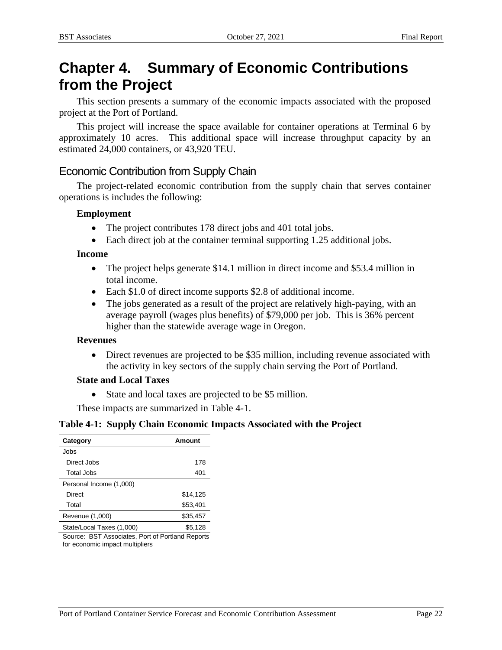# **Chapter 4. Summary of Economic Contributions from the Project**

This section presents a summary of the economic impacts associated with the proposed project at the Port of Portland.

This project will increase the space available for container operations at Terminal 6 by approximately 10 acres. This additional space will increase throughput capacity by an estimated 24,000 containers, or 43,920 TEU.

## Economic Contribution from Supply Chain

The project-related economic contribution from the supply chain that serves container operations is includes the following:

#### **Employment**

- The project contributes 178 direct jobs and 401 total jobs.
- Each direct job at the container terminal supporting 1.25 additional jobs.

## **Income**

- The project helps generate \$14.1 million in direct income and \$53.4 million in total income.
- Each \$1.0 of direct income supports \$2.8 of additional income.
- The jobs generated as a result of the project are relatively high-paying, with an average payroll (wages plus benefits) of \$79,000 per job. This is 36% percent higher than the statewide average wage in Oregon.

#### **Revenues**

 Direct revenues are projected to be \$35 million, including revenue associated with the activity in key sectors of the supply chain serving the Port of Portland.

## **State and Local Taxes**

State and local taxes are projected to be \$5 million.

These impacts are summarized in Table 4-1.

#### **Table 4-1: Supply Chain Economic Impacts Associated with the Project**

| Category                  | Amount   |
|---------------------------|----------|
| Jobs                      |          |
| Direct Jobs               | 178      |
| Total Jobs                | 401      |
| Personal Income (1,000)   |          |
| Direct                    | \$14,125 |
| Total                     | \$53,401 |
| Revenue (1,000)           | \$35,457 |
| State/Local Taxes (1,000) | \$5.128  |

Source: BST Associates, Port of Portland Reports for economic impact multipliers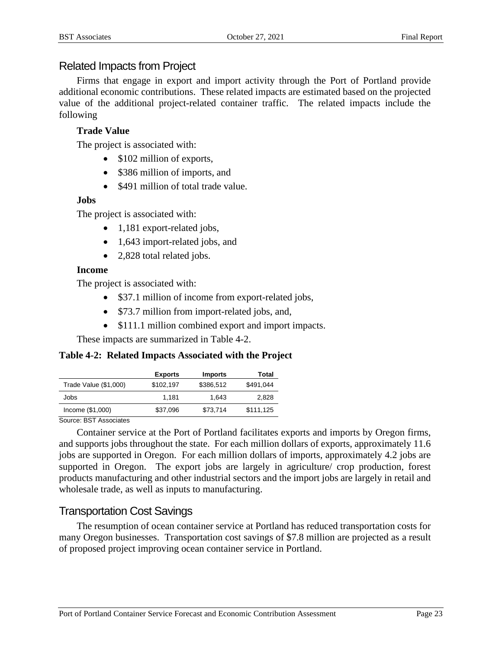## Related Impacts from Project

Firms that engage in export and import activity through the Port of Portland provide additional economic contributions. These related impacts are estimated based on the projected value of the additional project-related container traffic. The related impacts include the following

## **Trade Value**

The project is associated with:

- \$102 million of exports,
- \$386 million of imports, and
- \$491 million of total trade value.

## **Jobs**

The project is associated with:

- 1,181 export-related jobs,
- 1,643 import-related jobs, and
- 2,828 total related jobs.

## **Income**

The project is associated with:

- \$37.1 million of income from export-related jobs,
- \$73.7 million from import-related jobs, and,
- \$111.1 million combined export and import impacts.

These impacts are summarized in Table 4-2.

## **Table 4-2: Related Impacts Associated with the Project**

|                       | <b>Exports</b> | <b>Imports</b> | Total     |
|-----------------------|----------------|----------------|-----------|
| Trade Value (\$1,000) | \$102.197      | \$386.512      | \$491.044 |
| Jobs                  | 1.181          | 1.643          | 2,828     |
| $Income$ (\$1,000)    | \$37,096       | \$73,714       | \$111,125 |

Source: BST Associates

Container service at the Port of Portland facilitates exports and imports by Oregon firms, and supports jobs throughout the state. For each million dollars of exports, approximately 11.6 jobs are supported in Oregon. For each million dollars of imports, approximately 4.2 jobs are supported in Oregon. The export jobs are largely in agriculture/ crop production, forest products manufacturing and other industrial sectors and the import jobs are largely in retail and wholesale trade, as well as inputs to manufacturing.

## Transportation Cost Savings

The resumption of ocean container service at Portland has reduced transportation costs for many Oregon businesses. Transportation cost savings of \$7.8 million are projected as a result of proposed project improving ocean container service in Portland.